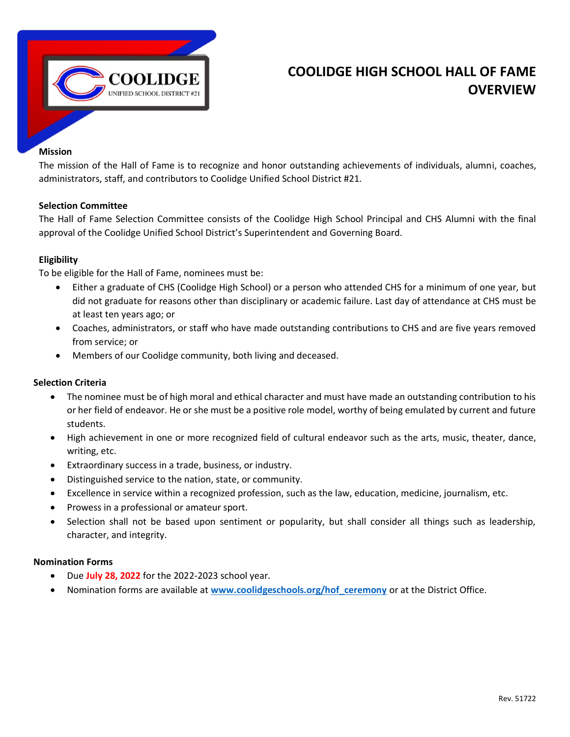

## **COOLIDGE HIGH SCHOOL HALL OF FAME OVERVIEW**

#### **Mission**

The mission of the Hall of Fame is to recognize and honor outstanding achievements of individuals, alumni, coaches, administrators, staff, and contributors to Coolidge Unified School District #21.

#### **Selection Committee**

The Hall of Fame Selection Committee consists of the Coolidge High School Principal and CHS Alumni with the final approval of the Coolidge Unified School District's Superintendent and Governing Board.

#### **Eligibility**

To be eligible for the Hall of Fame, nominees must be:

- Either a graduate of CHS (Coolidge High School) or a person who attended CHS for a minimum of one year, but did not graduate for reasons other than disciplinary or academic failure. Last day of attendance at CHS must be at least ten years ago; or
- Coaches, administrators, or staff who have made outstanding contributions to CHS and are five years removed from service; or
- Members of our Coolidge community, both living and deceased.

#### **Selection Criteria**

- The nominee must be of high moral and ethical character and must have made an outstanding contribution to his or her field of endeavor. He or she must be a positive role model, worthy of being emulated by current and future students.
- High achievement in one or more recognized field of cultural endeavor such as the arts, music, theater, dance, writing, etc.
- Extraordinary success in a trade, business, or industry.
- Distinguished service to the nation, state, or community.
- Excellence in service within a recognized profession, such as the law, education, medicine, journalism, etc.
- Prowess in a professional or amateur sport.
- Selection shall not be based upon sentiment or popularity, but shall consider all things such as leadership, character, and integrity.

#### **Nomination Forms**

- Due **July 28, 2022** for the 2022-2023 school year.
- Nomination forms are available at **[www.coolidgeschools.org/hof\\_ceremony](http://www.coolidgeschools.org/hof_ceremony)** or at the District Office.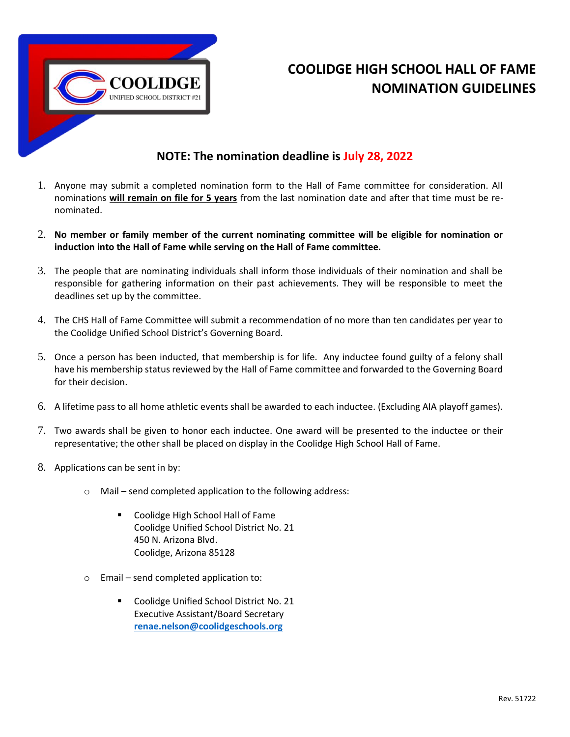

# **COOLIDGE HIGH SCHOOL HALL OF FAME NOMINATION GUIDELINES**

### **NOTE: The nomination deadline is July 28, 2022**

- 1. Anyone may submit a completed nomination form to the Hall of Fame committee for consideration. All nominations **will remain on file for 5 years** from the last nomination date and after that time must be renominated.
- 2. **No member or family member of the current nominating committee will be eligible for nomination or induction into the Hall of Fame while serving on the Hall of Fame committee.**
- 3. The people that are nominating individuals shall inform those individuals of their nomination and shall be responsible for gathering information on their past achievements. They will be responsible to meet the deadlines set up by the committee.
- 4. The CHS Hall of Fame Committee will submit a recommendation of no more than ten candidates per year to the Coolidge Unified School District's Governing Board.
- 5. Once a person has been inducted, that membership is for life. Any inductee found guilty of a felony shall have his membership status reviewed by the Hall of Fame committee and forwarded to the Governing Board for their decision.
- 6. A lifetime pass to all home athletic events shall be awarded to each inductee. (Excluding AIA playoff games).
- 7. Two awards shall be given to honor each inductee. One award will be presented to the inductee or their representative; the other shall be placed on display in the Coolidge High School Hall of Fame.
- 8. Applications can be sent in by:
	- o Mail send completed application to the following address:
		- Coolidge High School Hall of Fame Coolidge Unified School District No. 21 450 N. Arizona Blvd. Coolidge, Arizona 85128
	- o Email send completed application to:
		- Coolidge Unified School District No. 21 Executive Assistant/Board Secretary **[renae.nelson@coolidgeschools.org](mailto:renae.nelson@coolidgeschools.org)**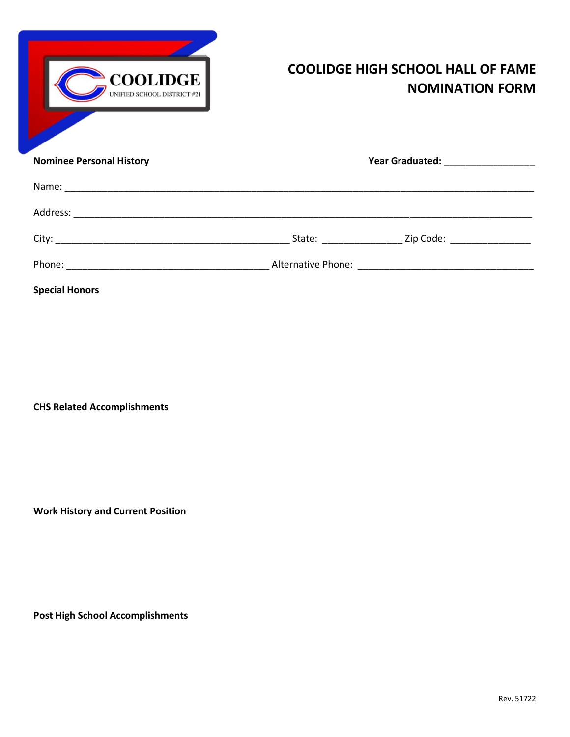| <b>COOLIDGE</b><br>UNIFIED SCHOOL DISTRICT #21 | <b>COOLIDGE HIGH SCHOOL HALL OF FAME</b><br><b>NOMINATION FORM</b> |  |
|------------------------------------------------|--------------------------------------------------------------------|--|
| <b>Nominee Personal History</b>                |                                                                    |  |
|                                                |                                                                    |  |
|                                                |                                                                    |  |
|                                                |                                                                    |  |
|                                                |                                                                    |  |
| <b>Special Honors</b>                          |                                                                    |  |

**CHS Related Accomplishments**

**Work History and Current Position**

**Post High School Accomplishments**